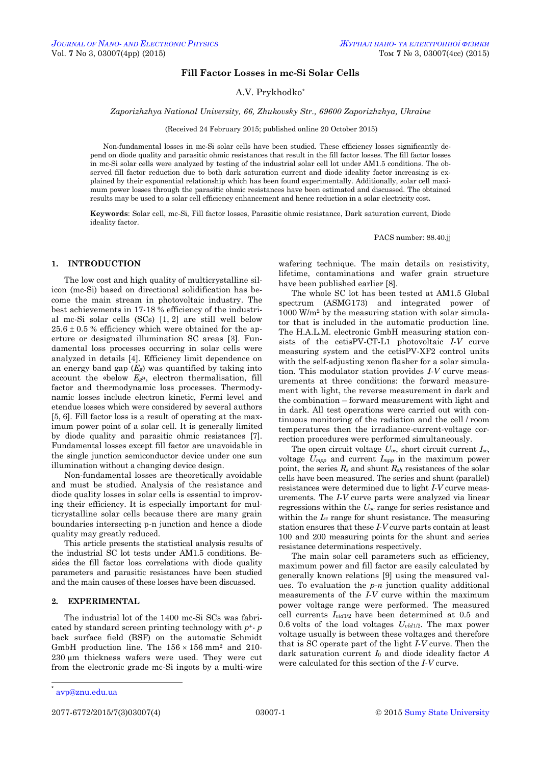## **Fill Factor Losses in mc-Si Solar Cells**

A.V. Prykhodko\*

#### *Zaporizhzhya National University, 66, Zhukovsky Str., 69600 Zaporizhzhya, Ukraine*

(Received 24 February 2015; published online 20 October 2015)

Non-fundamental losses in mc-Si solar cells have been studied. These efficiency losses significantly depend on diode quality and parasitic ohmic resistances that result in the fill factor losses. The fill factor losses in mc-Si solar cells were analyzed by testing of the industrial solar cell lot under AM1.5 conditions. The observed fill factor reduction due to both dark saturation current and diode ideality factor increasing is explained by their exponential relationship which has been found experimentally. Additionally, solar cell maximum power losses through the parasitic ohmic resistances have been estimated and discussed. The obtained results may be used to a solar cell efficiency enhancement and hence reduction in a solar electricity cost.

**Keywords**: Solar cell, mc-Si, Fill factor losses, Parasitic ohmic resistance, Dark saturation current, Diode ideality factor.

PACS number: 88.40.jj

## **1. INTRODUCTION**

The low cost and high quality of multicrystalline silicon (mc-Si) based on directional solidification has become the main stream in photovoltaic industry. The best achievements in 17-18 % efficiency of the industrial mc-Si solar cells (SCs) [1, 2] are still well below  $25.6 \pm 0.5$  % efficiency which were obtained for the aperture or designated illumination SC areas [3]. Fundamental loss processes occurring in solar cells were analyzed in details [4]. Efficiency limit dependence on an energy band gap (*Eg*) was quantified by taking into account the «below *Eg*», electron thermalisation, fill factor and thermodynamic loss processes. Thermodynamic losses include electron kinetic, Fermi level and etendue losses which were considered by several authors [5, 6]. Fill factor loss is a result of operating at the maximum power point of a solar cell. It is generally limited by diode quality and parasitic ohmic resistances [7]. Fundamental losses except fill factor are unavoidable in the single junction semiconductor device under one sun illumination without a changing device design.

Non-fundamental losses are theoretically avoidable and must be studied. Analysis of the resistance and diode quality losses in solar cells is essential to improving their efficiency. It is especially important for multicrystalline solar cells because there are many grain boundaries intersecting p-n junction and hence a diode quality may greatly reduced.

This article presents the statistical analysis results of the industrial SC lot tests under AM1.5 conditions. Besides the fill factor loss correlations with diode quality parameters and parasitic resistances have been studied and the main causes of these losses have been discussed.

# **2. EXPERIMENTAL**

The industrial lot of the 1400 mc-Si SCs was fabricated by standard screen printing technology with *p*<sup>+</sup>- *p* back surface field (BSF) on the automatic Schmidt GmbH production line. The  $156 \times 156$  mm<sup>2</sup> and 210-230 um thickness wafers were used. They were cut from the electronic grade mc-Si ingots by a multi-wire

wafering technique. The main details on resistivity, lifetime, contaminations and wafer grain structure have been published earlier [8].

The whole SC lot has been tested at AM1.5 Global spectrum (ASMG173) and integrated power of 1000 W/m<sup>2</sup> by the measuring station with solar simulator that is included in the automatic production line. The H.A.L.M. electronic GmbH measuring station consists of the cetisPV-CT-L1 photovoltaic *I-V* curve measuring system and the cetisPV-XF2 control units with the self-adjusting xenon flasher for a solar simulation. This modulator station provides *I-V* curve measurements at three conditions: the forward measurement with light, the reverse measurement in dark and the combination – forward measurement with light and in dark. All test operations were carried out with continuous monitoring of the radiation and the cell / room temperatures then the irradiance-current-voltage correction procedures were performed simultaneously.

The open circuit voltage *Uoc*, short circuit current *Isc*, voltage *Umpp* and current *Impp* in the maximum power point, the series *R<sup>s</sup>* and shunt *Rsh* resistances of the solar cells have been measured. The series and shunt (parallel) resistances were determined due to light *I-V* curve measurements. The *I-V* curve parts were analyzed via linear regressions within the *Uoc* range for series resistance and within the *I*<sub>sc</sub> range for shunt resistance. The measuring station ensures that these *I-V* curve parts contain at least 100 and 200 measuring points for the shunt and series resistance determinations respectively.

The main solar cell parameters such as efficiency, maximum power and fill factor are easily calculated by generally known relations [9] using the measured values. To evaluation the *p-n* junction quality additional measurements of the *I-V* curve within the maximum power voltage range were performed. The measured cell currents *Ivld*1/2 have been determined at 0.5 and 0.6 volts of the load voltages *Uvld*1/2. The max power voltage usually is between these voltages and therefore that is SC operate part of the light *I-V* curve. Then the dark saturation current *I*<sup>0</sup> and diode ideality factor *A* were calculated for this section of the *I-V* curve.

 $\overline{a}$ 

<span id="page-0-3"></span><span id="page-0-2"></span><span id="page-0-1"></span><span id="page-0-0"></span><sup>\*</sup> [avp@znu.edu.ua](file:///C:/Users/avp/Desktop/Сумы/avp@znu.edu.ua)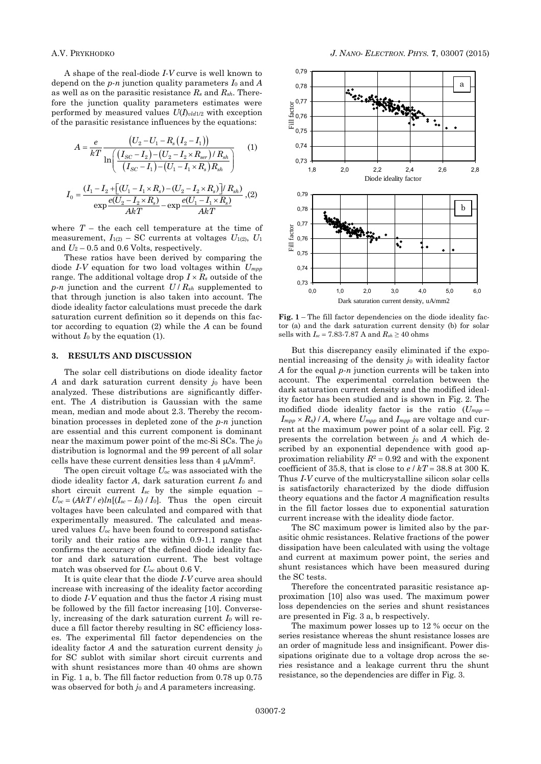A shape of the real-diode *I-V* curve is well known to depend on the *p-n* junction quality parameters *I*<sup>0</sup> and *A* as well as on the parasitic resistance *R<sup>s</sup>* and *Rsh*. Therefore the junction quality parameters estimates were performed by measured values  $U(I)_{\text{vld1/2}}$  with exception of the parasitic resistance influences by the equations:

$$
A = \frac{e}{kT} \frac{\left(U_2 - U_1 - R_s \left(I_2 - I_1\right)\right)}{\ln\left(\frac{\left(I_{SC} - I_2\right) - \left(U_2 - I_2 \times R_{ser}\right) / R_{sh}}{\left(I_{SC} - I_1\right) - \left(U_1 - I_1 \times R_s\right) R_{sh}}\right)} \tag{1}
$$
\n
$$
I_0 = \frac{\left(I_1 - I_2 + \left[\left(U_1 - I_1 \times R_s\right) - \left(U_2 - I_2 \times R_s\right)\right] / R_{sh}}{\exp\frac{e\left(U_2 - I_2 \times R_s\right)}{AkT} - \exp\frac{e\left(U_1 - I_1 \times R_s\right)}{AkT}} \tag{2}
$$

where  $T$  – the each cell temperature at the time of measurement,  $I_{1(2)}$  – SC currents at voltages  $U_{1(2)}$ ,  $U_1$ and  $U_2$  – 0.5 and 0.6 Volts, respectively.

These ratios have been derived by comparing the diode *I-V* equation for two load voltages within *Umpp* range. The additional voltage drop  $I \times R_s$  outside of the  $p$ *-n* junction and the current  $U/R_{sh}$  supplemented to that through junction is also taken into account. The diode ideality factor calculations must precede the dark saturation current definition so it depends on this factor according to equation (2) while the *A* can be found without  $I_0$  by the equation (1).

#### **3. RESULTS AND DISCUSSION**

The solar cell distributions on diode ideality factor *A* and dark saturation current density *j*<sub>0</sub> have been analyzed. These distributions are significantly different. The *A* distribution is Gaussian with the same mean, median and mode about 2.3. Thereby the recombination processes in depleted zone of the *p-n* junction are essential and this current component is dominant near the maximum power point of the mc-Si SCs. The *j*<sup>0</sup> distribution is lognormal and the 99 percent of all solar cells have these current densities less than  $4 \mu A/mm^2$ .

The open circuit voltage *Uoc* was associated with the diode ideality factor *A*, dark saturation current *I*<sup>0</sup> and short circuit current *Isc* by the simple equation –  $U_{oc} = (AkT / e)ln[(I_{sc} - I_0) / I_0]$ . Thus the open circuit voltages have been calculated and compared with that experimentally measured. The calculated and measured values *Uoc* have been found to correspond satisfactorily and their ratios are within 0.9-1.1 range that confirms the accuracy of the defined diode ideality factor and dark saturation current. The best voltage match was observed for *Uoc* about 0.6 V.

It is quite clear that the diode *I-V* curve area should increase with increasing of the ideality factor according to diode *I-V* equation and thus the factor *A* rising must be followed by the fill factor increasing [10]. Conversely, increasing of the dark saturation current *I*<sup>0</sup> will reduce a fill factor thereby resulting in SC efficiency losses. The experimental fill factor dependencies on the ideality factor  $A$  and the saturation current density  $j_0$ for SC sublot with similar short circuit currents and with shunt resistances more than 40 ohms are shown in Fig. 1 a, b. The fill factor reduction from 0.78 up 0.75 was observed for both *j*<sub>0</sub> and *A* parameters increasing.



**Fig. 1** – The fill factor dependencies on the diode ideality factor (a) and the dark saturation current density (b) for solar sells with  $I_{sc} = 7.83-7.87$  A and  $R_{sh} \ge 40$  ohms

But this discrepancy easily eliminated if the exponential increasing of the density *j*<sup>0</sup> with ideality factor *A* for the equal *p-n* junction currents will be taken into account. The experimental correlation between the dark saturation current density and the modified ideality factor has been studied and is shown in Fig. 2. The modified diode ideality factor is the ratio (*Umpp* –  $I_{mpp} \times R_s$  / *A*, where  $U_{mpp}$  and  $I_{mpp}$  are voltage and current at the maximum power point of a solar cell. Fig. 2 presents the correlation between *j*<sup>0</sup> and *A* which described by an exponential dependence with good approximation reliability  $R^2 = 0.92$  and with the exponent coefficient of 35.8, that is close to  $e / kT = 38.8$  at 300 K. Thus *I-V* curve of the multicrystalline silicon solar cells is satisfactorily characterized by the diode diffusion theory equations and the factor *A* magnification results in the fill factor losses due to exponential saturation current increase with the ideality diode factor.

The SC maximum power is limited also by the parasitic ohmic resistances. Relative fractions of the power dissipation have been calculated with using the voltage and current at maximum power point, the series and shunt resistances which have been measured during the SC tests.

Therefore the concentrated parasitic resistance approximation [10] also was used. The maximum power loss dependencies on the series and shunt resistances are presented in Fig. 3 a, b respectively.

The maximum power losses up to 12 % occur on the series resistance whereas the shunt resistance losses are an order of magnitude less and insignificant. Power dissipations originate due to a voltage drop across the series resistance and a leakage current thru the shunt resistance, so the dependencies are differ in Fig. 3.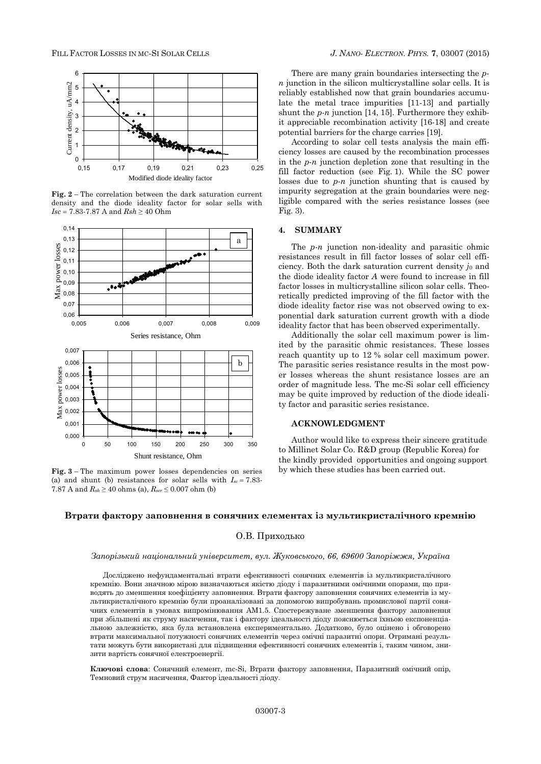

**Fig. 2** – The correlation between the dark saturation current density and the diode ideality factor for solar sells with *Isc* = 7.83-7.87 A and  $Rsh \ge 40$  Ohm



**Fig. 3** – The maximum power losses dependencies on series (a) and shunt (b) resistances for solar sells with  $I_{sc} = 7.83$ -7.87 A and  $R_{sh} \ge 40$  ohms (a),  $R_{ser} \le 0.007$  ohm (b)

There are many grain boundaries intersecting the *pn* junction in the silicon multicrystalline solar cells. It is reliably established now that grain boundaries accumulate the metal trace impurities [11-13] and partially shunt the *p-n* junction [14, 15]. Furthermore they exhibit appreciable recombination activity [16-18] and create potential barriers for the charge carries [19].

According to solar cell tests analysis the main efficiency losses are caused by the recombination processes in the *p-n* junction depletion zone that resulting in the fill factor reduction (see Fig. 1). While the SC power losses due to *p-n* junction shunting that is caused by impurity segregation at the grain boundaries were negligible compared with the series resistance losses (see Fig. 3).

### **4. SUMMARY**

The *p-n* junction non-ideality and parasitic ohmic resistances result in fill factor losses of solar cell efficiency. Both the dark saturation current density *j*<sub>0</sub> and the diode ideality factor *A* were found to increase in fill factor losses in multicrystalline silicon solar cells. Theoretically predicted improving of the fill factor with the diode ideality factor rise was not observed owing to exponential dark saturation current growth with a diode ideality factor that has been observed experimentally.

Additionally the solar cell maximum power is limited by the parasitic ohmic resistances. These losses reach quantity up to 12 % solar cell maximum power. The parasitic series resistance results in the most power losses whereas the shunt resistance losses are an order of magnitude less. The mc-Si solar cell efficiency may be quite improved by reduction of the diode ideality factor and parasitic series resistance.

## **ACKNOWLEDGMENT**

Author would like to express their sincere gratitude to Millinet Solar Co. R&D group (Republic Korea) for the kindly provided opportunities and ongoing support by which these studies has been carried out.

#### **Втрати фактору заповнення в сонячних елементах із мультикристалічного кремнію**

## О.В. Приходько

#### *Запорізький національний університет, вул. Жуковського, 66, 69600 Запоріжжя, Україна*

Досліджено нефундаментальні втрати ефективності сонячних елементів із мультикристалічного кремнію. Вони значною мірою визначаються якістю ліолу і паразитними омічними опорами, що приводять до зменшення коефіцієнту заповнення. Втрати фактору заповнення сонячних елементів із мультикристалічного кремнію були проаналізовані за допомогою випробувань промислової партії сонячних елементів в умовах випромінювання AM1.5. Спостережуване зменшення фактору заповнення при збільшені як струму насичення, так і фактору ідеальності діоду пояснюється їхньою експоненціальною залежністю, яка була встановлена експериментально. Додатково, було оцінено і обговорено втрати максимальної потужності сонячних елементів через омічні паразитні опори. Отримані результати можуть бути використані для підвищення ефективності сонячних елементів і, таким чином, знизити вартість сонячної електроенергії.

**Ключові слова**: Сонячний елемент, mc-Si, Втрати фактору заповнення, Паразитний омічний опір, Темновий струм насичення, Фактор ідеальності діоду.